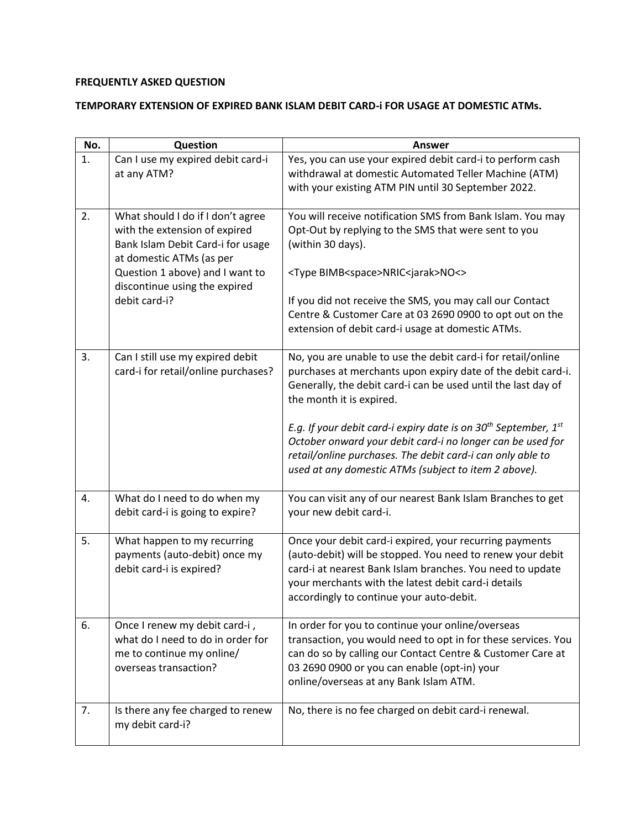## **FREQUENTLY ASKED QUESTION**

## **TEMPORARY EXTENSION OF EXPIRED BANK ISLAM DEBIT CARD-i FOR USAGE AT DOMESTIC ATMs.**

| No. | Question                                                                                                                                                                                                                 | <b>Answer</b>                                                                                                                                                                                                                                                                                                                                                                                                                                                                              |
|-----|--------------------------------------------------------------------------------------------------------------------------------------------------------------------------------------------------------------------------|--------------------------------------------------------------------------------------------------------------------------------------------------------------------------------------------------------------------------------------------------------------------------------------------------------------------------------------------------------------------------------------------------------------------------------------------------------------------------------------------|
| 1.  | Can I use my expired debit card-i<br>at any ATM?                                                                                                                                                                         | Yes, you can use your expired debit card-i to perform cash<br>withdrawal at domestic Automated Teller Machine (ATM)<br>with your existing ATM PIN until 30 September 2022.                                                                                                                                                                                                                                                                                                                 |
| 2.  | What should I do if I don't agree<br>with the extension of expired<br>Bank Islam Debit Card-i for usage<br>at domestic ATMs (as per<br>Question 1 above) and I want to<br>discontinue using the expired<br>debit card-i? | You will receive notification SMS from Bank Islam. You may<br>Opt-Out by replying to the SMS that were sent to you<br>(within 30 days).<br><type bimb<space="">NRIC<jarak>NO&lt;&gt;<br/>If you did not receive the SMS, you may call our Contact<br/>Centre &amp; Customer Care at 03 2690 0900 to opt out on the<br/>extension of debit card-i usage at domestic ATMs.</jarak></type>                                                                                                    |
| 3.  | Can I still use my expired debit<br>card-i for retail/online purchases?                                                                                                                                                  | No, you are unable to use the debit card-i for retail/online<br>purchases at merchants upon expiry date of the debit card-i.<br>Generally, the debit card-i can be used until the last day of<br>the month it is expired.<br>E.g. If your debit card-i expiry date is on $30^{th}$ September, $1^{st}$<br>October onward your debit card-i no longer can be used for<br>retail/online purchases. The debit card-i can only able to<br>used at any domestic ATMs (subject to item 2 above). |
| 4.  | What do I need to do when my<br>debit card-i is going to expire?                                                                                                                                                         | You can visit any of our nearest Bank Islam Branches to get<br>your new debit card-i.                                                                                                                                                                                                                                                                                                                                                                                                      |
| 5.  | What happen to my recurring<br>payments (auto-debit) once my<br>debit card-i is expired?                                                                                                                                 | Once your debit card-i expired, your recurring payments<br>(auto-debit) will be stopped. You need to renew your debit<br>card-i at nearest Bank Islam branches. You need to update<br>your merchants with the latest debit card-i details<br>accordingly to continue your auto-debit.                                                                                                                                                                                                      |
| 6.  | Once I renew my debit card-i,<br>what do I need to do in order for<br>me to continue my online/<br>overseas transaction?                                                                                                 | In order for you to continue your online/overseas<br>transaction, you would need to opt in for these services. You<br>can do so by calling our Contact Centre & Customer Care at<br>03 2690 0900 or you can enable (opt-in) your<br>online/overseas at any Bank Islam ATM.                                                                                                                                                                                                                 |
| 7.  | Is there any fee charged to renew<br>my debit card-i?                                                                                                                                                                    | No, there is no fee charged on debit card-i renewal.                                                                                                                                                                                                                                                                                                                                                                                                                                       |